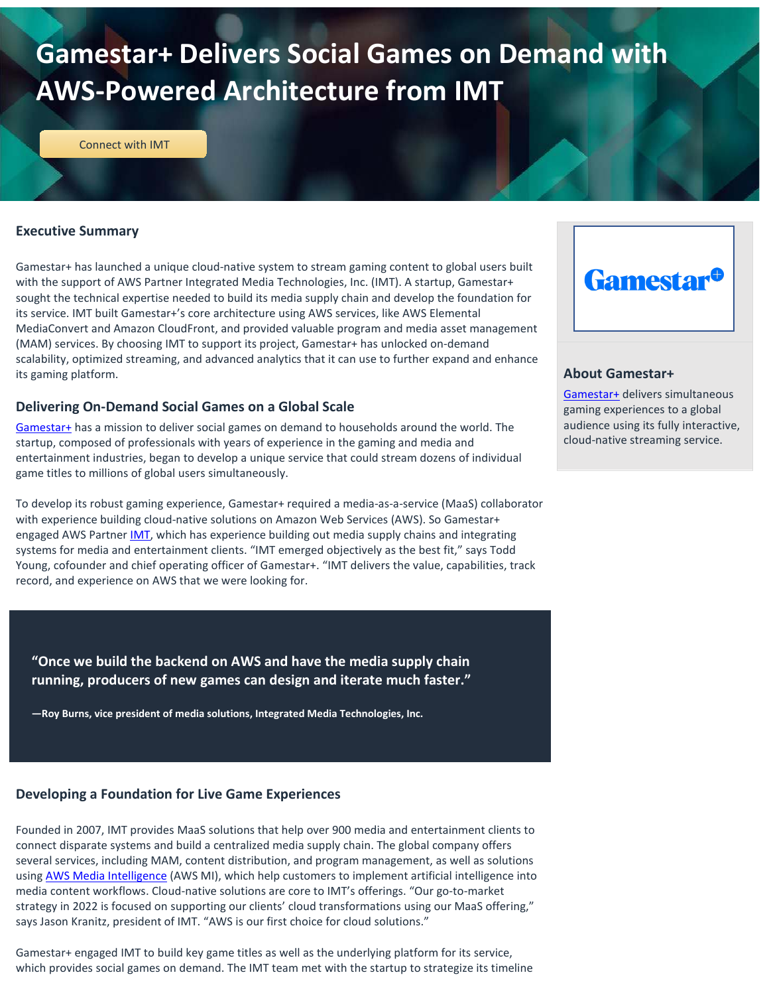# **Gamestar+ Delivers Social Games on Demand with AWS-Powered Architecture from IMT**

[Connect with IMT](https://imtglobalinc.com) 

#### **Executive Summary**

Gamestar+ has launched a unique cloud-native system to stream gaming content to global users built with the support of AWS Partner Integrated Media Technologies, Inc. (IMT). A startup, Gamestar+ sought the technical expertise needed to build its media supply chain and develop the foundation for its service. IMT built Gamestar+'s core architecture using AWS services, like AWS Elemental MediaConvert and Amazon CloudFront, and provided valuable program and media asset management (MAM) services. By choosing IMT to support its project, Gamestar+ has unlocked on-demand scalability, optimized streaming, and advanced analytics that it can use to further expand and enhance its gaming platform.

#### **Delivering On-Demand Social Games on a Global Scale**

[Gamestar+](https://gamestarplus.com/) has a mission to deliver social games on demand to households around the world. The startup, composed of professionals with years of experience in the gaming and media and entertainment industries, began to develop a unique service that could stream dozens of individual game titles to millions of global users simultaneously.

To develop its robust gaming experience, Gamestar+ required a media-as-a-service (MaaS) collaborator with experience building cloud-native solutions on Amazon Web Services (AWS). So Gamestar+ engaged AWS Partner [IMT,](https://imtglobalinc.com/) which has experience building out media supply chains and integrating systems for media and entertainment clients. "IMT emerged objectively as the best fit," says Todd Young, cofounder and chief operating officer of Gamestar+. "IMT delivers the value, capabilities, track record, and experience on AWS that we were looking for.

**"Once we build the backend on AWS and have the media supply chain running, producers of new games can design and iterate much faster."**

**—Roy Burns, vice president of media solutions, Integrated Media Technologies, Inc.**

# **Developing a Foundation for Live Game Experiences**

Founded in 2007, IMT provides MaaS solutions that help over 900 media and entertainment clients to connect disparate systems and build a centralized media supply chain. The global company offers several services, including MAM, content distribution, and program management, as well as solutions usin[g AWS Media Intelligence](https://aws.amazon.com/machine-learning/ml-use-cases/media-intelligence/) (AWS MI), which help customers to implement artificial intelligence into media content workflows. Cloud-native solutions are core to IMT's offerings. "Our go-to-market strategy in 2022 is focused on supporting our clients' cloud transformations using our MaaS offering," says Jason Kranitz, president of IMT. "AWS is our first choice for cloud solutions."

Gamestar+ engaged IMT to build key game titles as well as the underlying platform for its service, which provides social games on demand. The IMT team met with the startup to strategize its timeline



#### **About Gamestar+**

[Gamestar+](http://www.gamestarplus.com/) delivers simultaneous gaming experiences to a global audience using its fully interactive, cloud-native streaming service.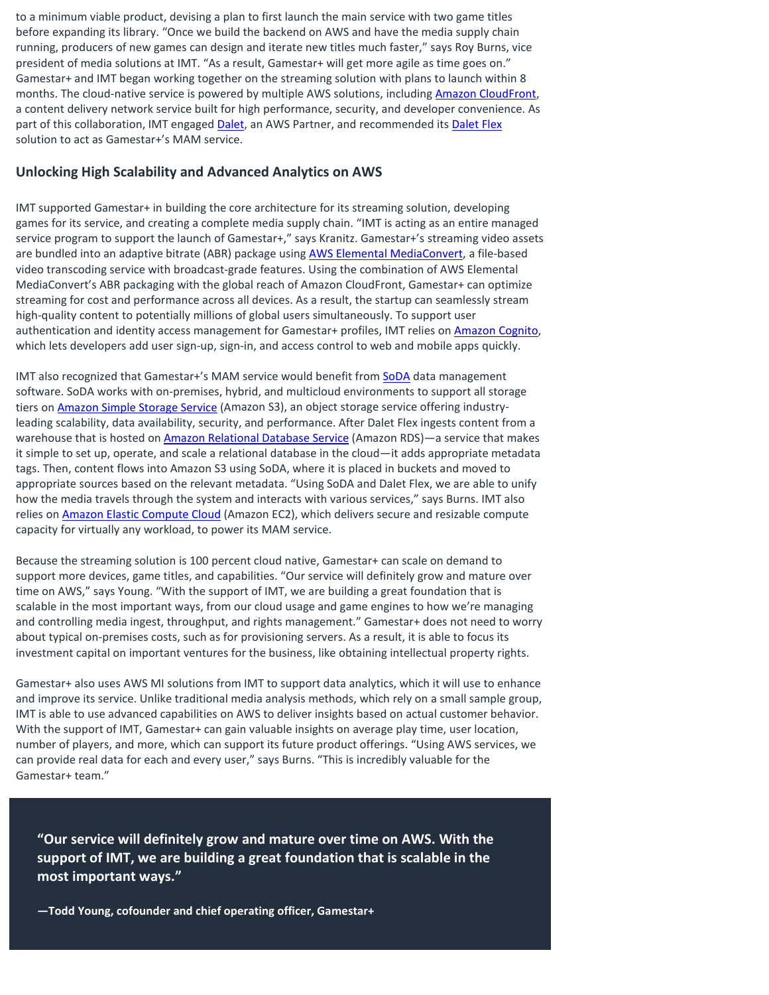to a minimum viable product, devising a plan to first launch the main service with two game titles before expanding its library. "Once we build the backend on AWS and have the media supply chain running, producers of new games can design and iterate new titles much faster," says Roy Burns, vice president of media solutions at IMT. "As a result, Gamestar+ will get more agile as time goes on." Gamestar+ and IMT began working together on the streaming solution with plans to launch within 8 months. The cloud-native service is powered by multiple AWS solutions, includin[g Amazon CloudFront,](https://aws.amazon.com/cloudfront/) a content delivery network service built for high performance, security, and developer convenience. As part of this collaboration, IMT engaged [Dalet,](https://www.dalet.com/) an AWS Partner, and recommended its [Dalet Flex](https://www.dalet.com/products/flex/) solution to act as Gamestar+'s MAM service.

#### **Unlocking High Scalability and Advanced Analytics on AWS**

IMT supported Gamestar+ in building the core architecture for its streaming solution, developing games for its service, and creating a complete media supply chain. "IMT is acting as an entire managed service program to support the launch of Gamestar+," says Kranitz. Gamestar+'s streaming video assets are bundled into an adaptive bitrate (ABR) package using **AWS Elemental MediaConvert**, a file-based video transcoding service with broadcast-grade features. Using the combination of AWS Elemental MediaConvert's ABR packaging with the global reach of Amazon CloudFront, Gamestar+ can optimize streaming for cost and performance across all devices. As a result, the startup can seamlessly stream high-quality content to potentially millions of global users simultaneously. To support user authentication and identity access management for Gamestar+ profiles, IMT relies o[n Amazon Cognito,](https://aws.amazon.com/cognito/) which lets developers add user sign-up, sign-in, and access control to web and mobile apps quickly.

IMT also recognized that Gamestar+'s MAM service would benefit from [SoDA](https://cloudsoda.io/) data management software. SoDA works with on-premises, hybrid, and multicloud environments to support all storage tiers o[n Amazon Simple Storage Service](https://aws.amazon.com/s3/) (Amazon S3), an object storage service offering industryleading scalability, data availability, security, and performance. After Dalet Flex ingests content from a warehouse that is hosted o[n Amazon Relational Database Service](https://aws.amazon.com/rds/) (Amazon RDS)—a service that makes it simple to set up, operate, and scale a relational database in the cloud—it adds appropriate metadata tags. Then, content flows into Amazon S3 using SoDA, where it is placed in buckets and moved to appropriate sources based on the relevant metadata. "Using SoDA and Dalet Flex, we are able to unify how the media travels through the system and interacts with various services," says Burns. IMT also relies o[n Amazon Elastic Compute Cloud](https://aws.amazon.com/ec2/) (Amazon EC2), which delivers secure and resizable compute capacity for virtually any workload, to power its MAM service.

Because the streaming solution is 100 percent cloud native, Gamestar+ can scale on demand to support more devices, game titles, and capabilities. "Our service will definitely grow and mature over time on AWS," says Young. "With the support of IMT, we are building a great foundation that is scalable in the most important ways, from our cloud usage and game engines to how we're managing and controlling media ingest, throughput, and rights management." Gamestar+ does not need to worry about typical on-premises costs, such as for provisioning servers. As a result, it is able to focus its investment capital on important ventures for the business, like obtaining intellectual property rights.

Gamestar+ also uses AWS MI solutions from IMT to support data analytics, which it will use to enhance and improve its service. Unlike traditional media analysis methods, which rely on a small sample group, IMT is able to use advanced capabilities on AWS to deliver insights based on actual customer behavior. With the support of IMT, Gamestar+ can gain valuable insights on average play time, user location, number of players, and more, which can support its future product offerings. "Using AWS services, we can provide real data for each and every user," says Burns. "This is incredibly valuable for the Gamestar+ team."

**"Our service will definitely grow and mature over time on AWS. With the support of IMT, we are building a great foundation that is scalable in the most important ways."**

**—Todd Young, cofounder and chief operating officer, Gamestar+**